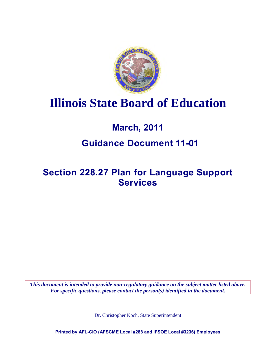

# **Illinois State Board of Education**

# **March, 2011**

### **Guidance Document 11-01**

# **Section 228.27 Plan for Language Support Services**

*This document is intended to provide non-regulatory guidance on the subject matter listed above. For specific questions, please contact the person(s) identified in the document.*

Dr. Christopher Koch, State Superintendent

**Printed by AFL-CIO (AFSCME Local #288 and IFSOE Local #3236) Employees**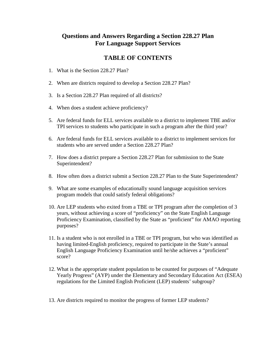### **Questions and Answers Regarding a Section 228.27 Plan For Language Support Services**

### **TABLE OF CONTENTS**

- 1. What is the Section 228.27 Plan?
- 2. When are districts required to develop a Section 228.27 Plan?
- 3. Is a Section 228.27 Plan required of all districts?
- 4. When does a student achieve proficiency?
- 5. Are federal funds for ELL services available to a district to implement TBE and/or TPI services to students who participate in such a program after the third year?
- 6. Are federal funds for ELL services available to a district to implement services for students who are served under a Section 228.27 Plan?
- 7. How does a district prepare a Section 228.27 Plan for submission to the State Superintendent?
- 8. How often does a district submit a Section 228.27 Plan to the State Superintendent?
- 9. What are some examples of educationally sound language acquisition services program models that could satisfy federal obligations?
- 10. Are LEP students who exited from a TBE or TPI program after the completion of 3 years, without achieving a score of "proficiency" on the State English Language Proficiency Examination, classified by the State as "proficient" for AMAO reporting purposes?
- 11. Is a student who is not enrolled in a TBE or TPI program, but who was identified as having limited-English proficiency, required to participate in the State's annual English Language Proficiency Examination until he/she achieves a "proficient" score?
- 12. What is the appropriate student population to be counted for purposes of "Adequate Yearly Progress" (AYP) under the Elementary and Secondary Education Act (ESEA) regulations for the Limited English Proficient (LEP) students' subgroup?
- 13. Are districts required to monitor the progress of former LEP students?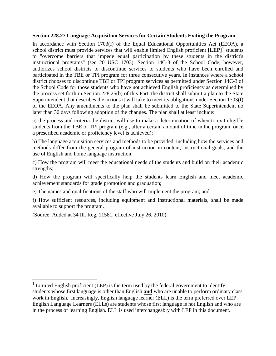#### **Section 228.27 Language Acquisition Services for Certain Students Exiting the Program**

In accordance with Section 1703(f) of the Equal Educational Opportunities Act (EEOA), a school district must provide services that will enable limited English proficient  $[LEP]$ <sup>[1](#page-2-0)</sup> students to "overcome barriers that impede equal participation by these students in the district's instructional programs" (see 20 USC 1703). Section 14C-3 of the School Code, however, authorizes school districts to discontinue services to students who have been enrolled and participated in the TBE or TPI program for three consecutive years. In instances where a school district chooses to discontinue TBE or TPI program services as permitted under Section 14C-3 of the School Code for those students who have not achieved English proficiency as determined by the process set forth in Section 228.25(b) of this Part, the district shall submit a plan to the State Superintendent that describes the actions it will take to meet its obligations under Section 1703(f) of the EEOA. Any amendments to the plan shall be submitted to the State Superintendent no later than 30 days following adoption of the changes. The plan shall at least include:

a) the process and criteria the district will use to make a determination of when to exit eligible students from the TBE or TPI program (e.g., after a certain amount of time in the program, once a prescribed academic or proficiency level is achieved);

b) The language acquisition services and methods to be provided, including how the services and methods differ from the general program of instruction in content, instructional goals, and the use of English and home language instruction;

c) How the program will meet the educational needs of the students and build on their academic strengths;

d) How the program will specifically help the students learn English and meet academic achievement standards for grade promotion and graduation;

e) The names and qualifications of the staff who will implement the program; and

f) How sufficient resources, including equipment and instructional materials, shall be made available to support the program.

(Source: Added at 34 Ill. Reg. 11581, effective July 26, 2010)

<span id="page-2-0"></span> $\overline{\phantom{a}}$ <sup>1</sup> Limited English proficient (LEP) is the term used by the federal government to identify students whose first language is other than English **and** who are unable to perform ordinary class work in English. Increasingly, English language learner (ELL) is the term preferred over LEP. English Language Learners (ELLs) are students whose first language is not English and who are in the process of learning English. ELL is used interchangeably with LEP in this document.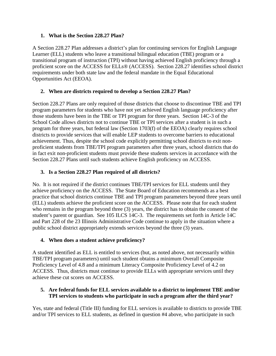#### **1. What is the Section 228.27 Plan?**

A Section 228.27 Plan addresses a district's plan for continuing services for English Language Learner (ELL) students who leave a transitional bilingual education (TBE) program or a transitional program of instruction (TPI) without having achieved English proficiency through a proficient score on the ACCESS for ELLs® (ACCESS). Section 228.27 identifies school district requirements under both state law and the federal mandate in the Equal Educational Opportunities Act (EEOA).

#### **2. When are districts required to develop a Section 228.27 Plan?**

Section 228.27 Plans are only required of those districts that choose to discontinue TBE and TPI program parameters for students who have not yet achieved English language proficiency after those students have been in the TBE or TPI program for three years. Section 14C-3 of the School Code allows districts not to continue TBE or TPI services after a student is in such a program for three years, but federal law (Section 1703(f) of the EEOA) clearly requires school districts to provide services that will enable LEP students to overcome barriers to educational achievement. Thus, despite the school code explicitly permitting school districts to exit nonproficient students from TBE/TPI program parameters after three years, school districts that do in fact exit non-proficient students must provide these students services in accordance with the Section 228.27 Plans until such students achieve English proficiency on ACCESS.

#### **3. Is a Section 228.27 Plan required of all districts?**

No. It is not required if the district continues TBE/TPI services for ELL students until they achieve proficiency on the ACCESS. The State Board of Education recommends as a best practice that school districts continue TBE and TPI program parameters beyond three years until (ELL) students achieve the proficient score on the ACCESS. Please note that for each student who remains in the program beyond three (3) years, the district has to obtain the consent of the student's parent or guardian. See 105 ILCS 14C-3. The requirements set forth in Article 14C and Part 228 of the 23 Illinois Administrative Code continue to apply in the situation where a public school district appropriately extends services beyond the three (3) years.

#### **4. When does a student achieve proficiency?**

A student identified as ELL is entitled to services (but, as noted above, not necessarily within TBE/TPI program parameters) until such student obtains a minimum Overall Composite Proficiency Level of 4.8 and a minimum Literacy Composite Proficiency Level of 4.2 on ACCESS. Thus, districts must continue to provide ELLs with appropriate services until they achieve these cut scores on ACCESS.

#### **5. Are federal funds for ELL services available to a district to implement TBE and/or TPI services to students who participate in such a program after the third year?**

Yes, state and federal (Title III) funding for ELL services is available to districts to provide TBE and/or TPI services to ELL students, as defined in question #4 above, who participate in such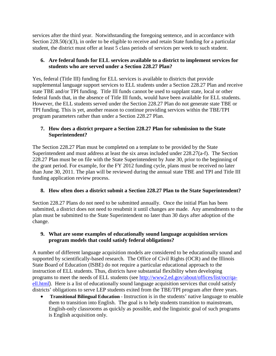services after the third year. Notwithstanding the foregoing sentence, and in accordance with Section 228.50(c)(3), in order to be eligible to receive and retain State funding for a particular student, the district must offer at least 5 class periods of services per week to such student.

#### **6. Are federal funds for ELL services available to a district to implement services for students who are served under a Section 228.27 Plan?**

Yes, federal (Title III) funding for ELL services is available to districts that provide supplemental language support services to ELL students under a Section 228.27 Plan and receive state TBE and/or TPI funding. Title III funds cannot be used to supplant state, local or other federal funds that, in the absence of Title III funds, would have been available for ELL students. However, the ELL students served under the Section 228.27 Plan do not generate state TBE or TPI funding. This is yet, another reason to continue providing services within the TBE/TPI program parameters rather than under a Section 228.27 Plan.

#### **7. How does a district prepare a Section 228.27 Plan for submission to the State Superintendent?**

The Section 228.27 Plan must be completed on a template to be provided by the State Superintendent and must address at least the six areas included under 228.27(a-f). The Section 228.27 Plan must be on file with the State Superintendent by June 30, prior to the beginning of the grant period. For example, for the FY 2012 funding cycle, plans must be received no later than June 30, 2011. The plan will be reviewed during the annual state TBE and TPI and Title III funding application review process.

#### **8. How often does a district submit a Section 228.27 Plan to the State Superintendent?**

Section 228.27 Plans do not need to be submitted annually. Once the initial Plan has been submitted, a district does not need to resubmit it until changes are made. Any amendments to the plan must be submitted to the State Superintendent no later than 30 days after adoption of the change.

#### **9. What are some examples of educationally sound language acquisition services program models that could satisfy federal obligations?**

A number of different language acquisition models are considered to be educationally sound and supported by scientifically-based research. The Office of Civil Rights (OCR) and the Illinois State Board of Education (ISBE) do not require a particular educational approach to the instruction of ELL students. Thus, districts have substantial flexibility when developing programs to meet the needs of ELL students (see [http://www2.ed.gov/about/offices/list/ocr/qa](http://www2.ed.gov/about/offices/list/ocr/qa-ell.html)[ell.html](http://www2.ed.gov/about/offices/list/ocr/qa-ell.html)). Here is a list of educationally sound language acquisition services that could satisfy districts' obligations to serve LEP students exited from the TBE/TPI program after three years.

• **Transitional Bilingual Education** - Instruction is in the students' native language to enable them to transition into English. The goal is to help students transition to mainstream, English-only classrooms as quickly as possible, and the linguistic goal of such programs is English acquisition only.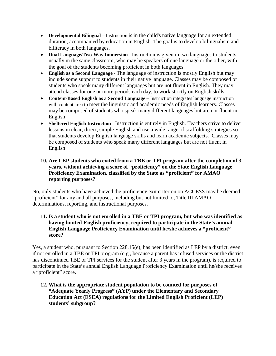- **Developmental Bilingual** Instruction is in the child's native language for an extended duration, accompanied by education in English. The goal is to develop bilingualism and biliteracy in both languages.
- **Dual Language/Two-Way Immersion** Instruction is given in two languages to students, usually in the same classroom, who may be speakers of one language or the other, with the goal of the students becoming proficient in both languages.
- **English as a Second Language** The language of instruction is mostly English but may include some support to students in their native language. Classes may be composed of students who speak many different languages but are not fluent in English. They may attend classes for one or more periods each day, to work strictly on English skills.
- **Content-Based English as a Second Language** Instruction integrates language instruction with content area to meet the linguistic and academic needs of English learners. Classes may be composed of students who speak many different languages but are not fluent in English
- **Sheltered English Instruction** Instruction is entirely in English. Teachers strive to deliver lessons in clear, direct, simple English and use a wide range of scaffolding strategies so that students develop English language skills and learn academic subjects. Classes may be composed of students who speak many different languages but are not fluent in English

#### **10. Are LEP students who exited from a TBE or TPI program after the completion of 3 years, without achieving a score of "proficiency" on the State English Language Proficiency Examination, classified by the State as "proficient" for AMAO reporting purposes?**

No, only students who have achieved the proficiency exit criterion on ACCESS may be deemed "proficient" for any and all purposes, including but not limited to, Title III AMAO determinations, reporting, and instructional purposes.

#### **11. Is a student who is not enrolled in a TBE or TPI program, but who was identified as having limited-English proficiency, required to participate in the State's annual English Language Proficiency Examination until he/she achieves a "proficient" score?**

Yes, a student who, pursuant to Section 228.15(e), has been identified as LEP by a district, even if not enrolled in a TBE or TPI program (e.g., because a parent has refused services or the district has discontinued TBE or TPI services for the student after 3 years in the program), is required to participate in the State's annual English Language Proficiency Examination until he/she receives a "proficient" score.

**12. What is the appropriate student population to be counted for purposes of "Adequate Yearly Progress" (AYP) under the Elementary and Secondary Education Act (ESEA) regulations for the Limited English Proficient (LEP) students' subgroup?**